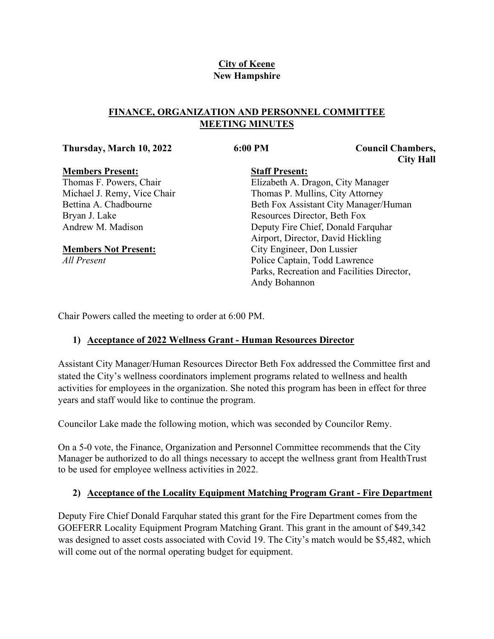## **City of Keene New Hampshire**

## **FINANCE, ORGANIZATION AND PERSONNEL COMMITTEE MEETING MINUTES**

#### **Thursday, March 10, 2022 6:00 PM Council Chambers,**

**City Hall**

## **Members Present:**

Thomas F. Powers, Chair Michael J. Remy, Vice Chair Bettina A. Chadbourne Bryan J. Lake Andrew M. Madison

## **Members Not Present:**

*All Present*

# **Staff Present:**

Elizabeth A. Dragon, City Manager Thomas P. Mullins, City Attorney Beth Fox Assistant City Manager/Human Resources Director, Beth Fox Deputy Fire Chief, Donald Farquhar Airport, Director, David Hickling City Engineer, Don Lussier Police Captain, Todd Lawrence Parks, Recreation and Facilities Director, Andy Bohannon

Chair Powers called the meeting to order at 6:00 PM.

# **1) Acceptance of 2022 Wellness Grant - Human Resources Director**

Assistant City Manager/Human Resources Director Beth Fox addressed the Committee first and stated the City's wellness coordinators implement programs related to wellness and health activities for employees in the organization. She noted this program has been in effect for three years and staff would like to continue the program.

Councilor Lake made the following motion, which was seconded by Councilor Remy.

On a 5-0 vote, the Finance, Organization and Personnel Committee recommends that the City Manager be authorized to do all things necessary to accept the wellness grant from HealthTrust to be used for employee wellness activities in 2022.

# **2) Acceptance of the Locality Equipment Matching Program Grant - Fire Department**

Deputy Fire Chief Donald Farquhar stated this grant for the Fire Department comes from the GOEFERR Locality Equipment Program Matching Grant. This grant in the amount of \$49,342 was designed to asset costs associated with Covid 19. The City's match would be \$5,482, which will come out of the normal operating budget for equipment.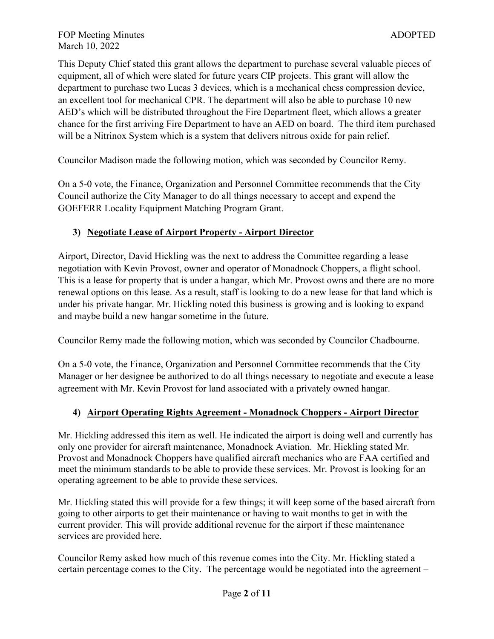This Deputy Chief stated this grant allows the department to purchase several valuable pieces of equipment, all of which were slated for future years CIP projects. This grant will allow the department to purchase two Lucas 3 devices, which is a mechanical chess compression device, an excellent tool for mechanical CPR. The department will also be able to purchase 10 new AED's which will be distributed throughout the Fire Department fleet, which allows a greater chance for the first arriving Fire Department to have an AED on board. The third item purchased will be a Nitrinox System which is a system that delivers nitrous oxide for pain relief.

Councilor Madison made the following motion, which was seconded by Councilor Remy.

On a 5-0 vote, the Finance, Organization and Personnel Committee recommends that the City Council authorize the City Manager to do all things necessary to accept and expend the GOEFERR Locality Equipment Matching Program Grant.

## **3) Negotiate Lease of Airport Property - Airport Director**

Airport, Director, David Hickling was the next to address the Committee regarding a lease negotiation with Kevin Provost, owner and operator of Monadnock Choppers, a flight school. This is a lease for property that is under a hangar, which Mr. Provost owns and there are no more renewal options on this lease. As a result, staff is looking to do a new lease for that land which is under his private hangar. Mr. Hickling noted this business is growing and is looking to expand and maybe build a new hangar sometime in the future.

Councilor Remy made the following motion, which was seconded by Councilor Chadbourne.

On a 5-0 vote, the Finance, Organization and Personnel Committee recommends that the City Manager or her designee be authorized to do all things necessary to negotiate and execute a lease agreement with Mr. Kevin Provost for land associated with a privately owned hangar.

## **4) Airport Operating Rights Agreement - Monadnock Choppers - Airport Director**

Mr. Hickling addressed this item as well. He indicated the airport is doing well and currently has only one provider for aircraft maintenance, Monadnock Aviation. Mr. Hickling stated Mr. Provost and Monadnock Choppers have qualified aircraft mechanics who are FAA certified and meet the minimum standards to be able to provide these services. Mr. Provost is looking for an operating agreement to be able to provide these services.

Mr. Hickling stated this will provide for a few things; it will keep some of the based aircraft from going to other airports to get their maintenance or having to wait months to get in with the current provider. This will provide additional revenue for the airport if these maintenance services are provided here.

Councilor Remy asked how much of this revenue comes into the City. Mr. Hickling stated a certain percentage comes to the City. The percentage would be negotiated into the agreement –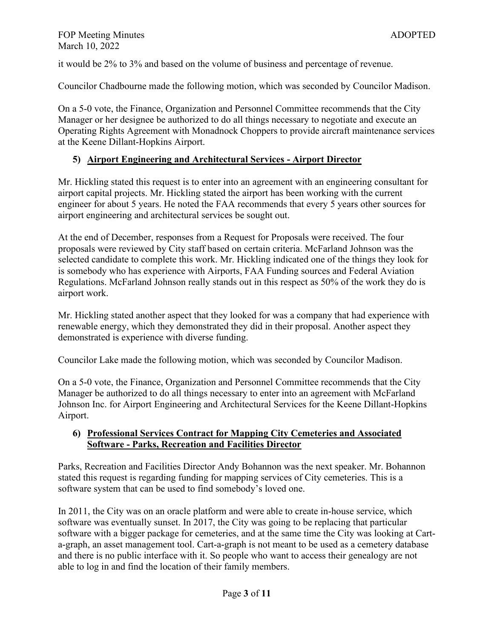it would be 2% to 3% and based on the volume of business and percentage of revenue.

Councilor Chadbourne made the following motion, which was seconded by Councilor Madison.

On a 5-0 vote, the Finance, Organization and Personnel Committee recommends that the City Manager or her designee be authorized to do all things necessary to negotiate and execute an Operating Rights Agreement with Monadnock Choppers to provide aircraft maintenance services at the Keene Dillant-Hopkins Airport.

## **5) Airport Engineering and Architectural Services - Airport Director**

Mr. Hickling stated this request is to enter into an agreement with an engineering consultant for airport capital projects. Mr. Hickling stated the airport has been working with the current engineer for about 5 years. He noted the FAA recommends that every 5 years other sources for airport engineering and architectural services be sought out.

At the end of December, responses from a Request for Proposals were received. The four proposals were reviewed by City staff based on certain criteria. McFarland Johnson was the selected candidate to complete this work. Mr. Hickling indicated one of the things they look for is somebody who has experience with Airports, FAA Funding sources and Federal Aviation Regulations. McFarland Johnson really stands out in this respect as 50% of the work they do is airport work.

Mr. Hickling stated another aspect that they looked for was a company that had experience with renewable energy, which they demonstrated they did in their proposal. Another aspect they demonstrated is experience with diverse funding.

Councilor Lake made the following motion, which was seconded by Councilor Madison.

On a 5-0 vote, the Finance, Organization and Personnel Committee recommends that the City Manager be authorized to do all things necessary to enter into an agreement with McFarland Johnson Inc. for Airport Engineering and Architectural Services for the Keene Dillant-Hopkins Airport.

## **6) Professional Services Contract for Mapping City Cemeteries and Associated Software - Parks, Recreation and Facilities Director**

Parks, Recreation and Facilities Director Andy Bohannon was the next speaker. Mr. Bohannon stated this request is regarding funding for mapping services of City cemeteries. This is a software system that can be used to find somebody's loved one.

In 2011, the City was on an oracle platform and were able to create in-house service, which software was eventually sunset. In 2017, the City was going to be replacing that particular software with a bigger package for cemeteries, and at the same time the City was looking at Carta-graph, an asset management tool. Cart-a-graph is not meant to be used as a cemetery database and there is no public interface with it. So people who want to access their genealogy are not able to log in and find the location of their family members.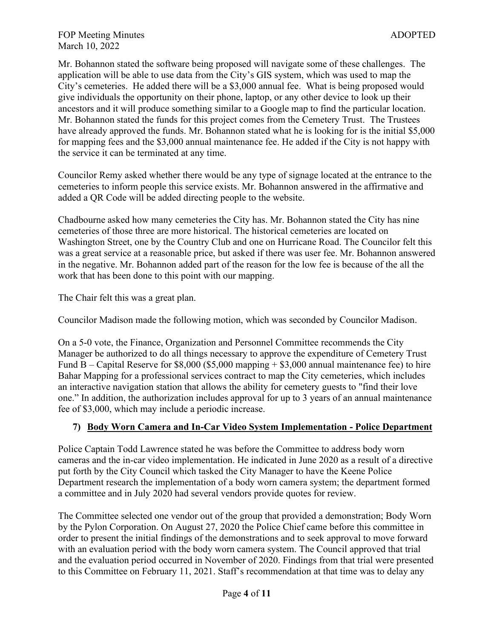Mr. Bohannon stated the software being proposed will navigate some of these challenges. The application will be able to use data from the City's GIS system, which was used to map the City's cemeteries. He added there will be a \$3,000 annual fee. What is being proposed would give individuals the opportunity on their phone, laptop, or any other device to look up their ancestors and it will produce something similar to a Google map to find the particular location. Mr. Bohannon stated the funds for this project comes from the Cemetery Trust. The Trustees have already approved the funds. Mr. Bohannon stated what he is looking for is the initial \$5,000 for mapping fees and the \$3,000 annual maintenance fee. He added if the City is not happy with the service it can be terminated at any time.

Councilor Remy asked whether there would be any type of signage located at the entrance to the cemeteries to inform people this service exists. Mr. Bohannon answered in the affirmative and added a QR Code will be added directing people to the website.

Chadbourne asked how many cemeteries the City has. Mr. Bohannon stated the City has nine cemeteries of those three are more historical. The historical cemeteries are located on Washington Street, one by the Country Club and one on Hurricane Road. The Councilor felt this was a great service at a reasonable price, but asked if there was user fee. Mr. Bohannon answered in the negative. Mr. Bohannon added part of the reason for the low fee is because of the all the work that has been done to this point with our mapping.

The Chair felt this was a great plan.

Councilor Madison made the following motion, which was seconded by Councilor Madison.

On a 5-0 vote, the Finance, Organization and Personnel Committee recommends the City Manager be authorized to do all things necessary to approve the expenditure of Cemetery Trust Fund B – Capital Reserve for  $$8,000$  (\$5,000 mapping + \$3,000 annual maintenance fee) to hire Bahar Mapping for a professional services contract to map the City cemeteries, which includes an interactive navigation station that allows the ability for cemetery guests to "find their love one." In addition, the authorization includes approval for up to 3 years of an annual maintenance fee of \$3,000, which may include a periodic increase.

## **7) Body Worn Camera and In-Car Video System Implementation - Police Department**

Police Captain Todd Lawrence stated he was before the Committee to address body worn cameras and the in-car video implementation. He indicated in June 2020 as a result of a directive put forth by the City Council which tasked the City Manager to have the Keene Police Department research the implementation of a body worn camera system; the department formed a committee and in July 2020 had several vendors provide quotes for review.

The Committee selected one vendor out of the group that provided a demonstration; Body Worn by the Pylon Corporation. On August 27, 2020 the Police Chief came before this committee in order to present the initial findings of the demonstrations and to seek approval to move forward with an evaluation period with the body worn camera system. The Council approved that trial and the evaluation period occurred in November of 2020. Findings from that trial were presented to this Committee on February 11, 2021. Staff's recommendation at that time was to delay any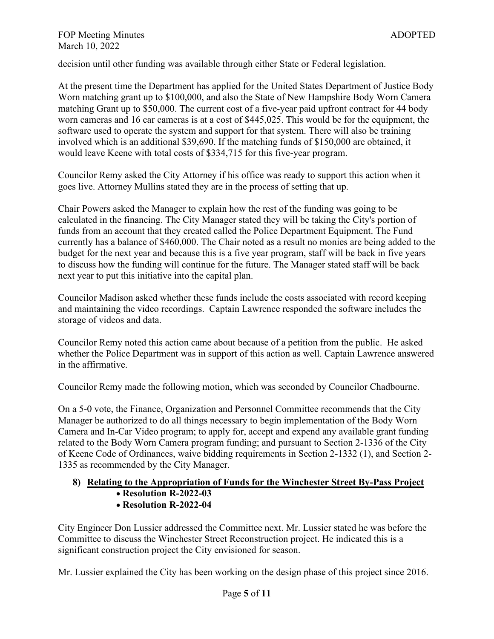decision until other funding was available through either State or Federal legislation.

At the present time the Department has applied for the United States Department of Justice Body Worn matching grant up to \$100,000, and also the State of New Hampshire Body Worn Camera matching Grant up to \$50,000. The current cost of a five-year paid upfront contract for 44 body worn cameras and 16 car cameras is at a cost of \$445,025. This would be for the equipment, the software used to operate the system and support for that system. There will also be training involved which is an additional \$39,690. If the matching funds of \$150,000 are obtained, it would leave Keene with total costs of \$334,715 for this five-year program.

Councilor Remy asked the City Attorney if his office was ready to support this action when it goes live. Attorney Mullins stated they are in the process of setting that up.

Chair Powers asked the Manager to explain how the rest of the funding was going to be calculated in the financing. The City Manager stated they will be taking the City's portion of funds from an account that they created called the Police Department Equipment. The Fund currently has a balance of \$460,000. The Chair noted as a result no monies are being added to the budget for the next year and because this is a five year program, staff will be back in five years to discuss how the funding will continue for the future. The Manager stated staff will be back next year to put this initiative into the capital plan.

Councilor Madison asked whether these funds include the costs associated with record keeping and maintaining the video recordings. Captain Lawrence responded the software includes the storage of videos and data.

Councilor Remy noted this action came about because of a petition from the public. He asked whether the Police Department was in support of this action as well. Captain Lawrence answered in the affirmative.

Councilor Remy made the following motion, which was seconded by Councilor Chadbourne.

On a 5-0 vote, the Finance, Organization and Personnel Committee recommends that the City Manager be authorized to do all things necessary to begin implementation of the Body Worn Camera and In-Car Video program; to apply for, accept and expend any available grant funding related to the Body Worn Camera program funding; and pursuant to Section 2-1336 of the City of Keene Code of Ordinances, waive bidding requirements in Section 2-1332 (1), and Section 2- 1335 as recommended by the City Manager.

# **8) Relating to the Appropriation of Funds for the Winchester Street By-Pass Project**

- **Resolution R-2022-03**
- **Resolution R-2022-04**

City Engineer Don Lussier addressed the Committee next. Mr. Lussier stated he was before the Committee to discuss the Winchester Street Reconstruction project. He indicated this is a significant construction project the City envisioned for season.

Mr. Lussier explained the City has been working on the design phase of this project since 2016.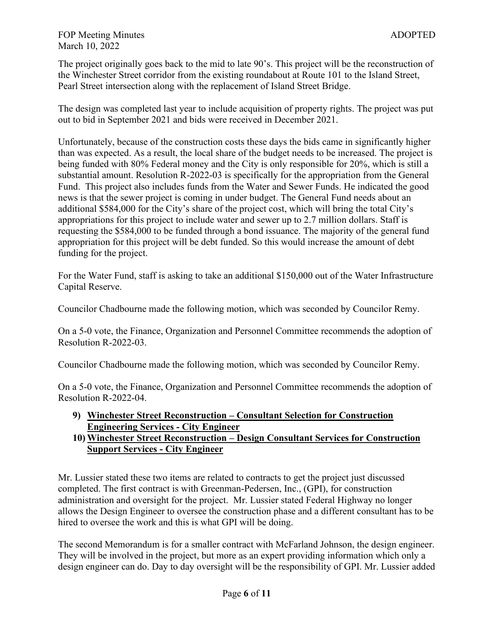The project originally goes back to the mid to late 90's. This project will be the reconstruction of the Winchester Street corridor from the existing roundabout at Route 101 to the Island Street, Pearl Street intersection along with the replacement of Island Street Bridge.

The design was completed last year to include acquisition of property rights. The project was put out to bid in September 2021 and bids were received in December 2021.

Unfortunately, because of the construction costs these days the bids came in significantly higher than was expected. As a result, the local share of the budget needs to be increased. The project is being funded with 80% Federal money and the City is only responsible for 20%, which is still a substantial amount. Resolution R-2022-03 is specifically for the appropriation from the General Fund. This project also includes funds from the Water and Sewer Funds. He indicated the good news is that the sewer project is coming in under budget. The General Fund needs about an additional \$584,000 for the City's share of the project cost, which will bring the total City's appropriations for this project to include water and sewer up to 2.7 million dollars. Staff is requesting the \$584,000 to be funded through a bond issuance. The majority of the general fund appropriation for this project will be debt funded. So this would increase the amount of debt funding for the project.

For the Water Fund, staff is asking to take an additional \$150,000 out of the Water Infrastructure Capital Reserve.

Councilor Chadbourne made the following motion, which was seconded by Councilor Remy.

On a 5-0 vote, the Finance, Organization and Personnel Committee recommends the adoption of Resolution R-2022-03.

Councilor Chadbourne made the following motion, which was seconded by Councilor Remy.

On a 5-0 vote, the Finance, Organization and Personnel Committee recommends the adoption of Resolution R-2022-04.

#### **9) Winchester Street Reconstruction – Consultant Selection for Construction Engineering Services - City Engineer**

## **10) Winchester Street Reconstruction – Design Consultant Services for Construction Support Services - City Engineer**

Mr. Lussier stated these two items are related to contracts to get the project just discussed completed. The first contract is with Greenman-Pedersen, Inc., (GPI), for construction administration and oversight for the project. Mr. Lussier stated Federal Highway no longer allows the Design Engineer to oversee the construction phase and a different consultant has to be hired to oversee the work and this is what GPI will be doing.

The second Memorandum is for a smaller contract with McFarland Johnson, the design engineer. They will be involved in the project, but more as an expert providing information which only a design engineer can do. Day to day oversight will be the responsibility of GPI. Mr. Lussier added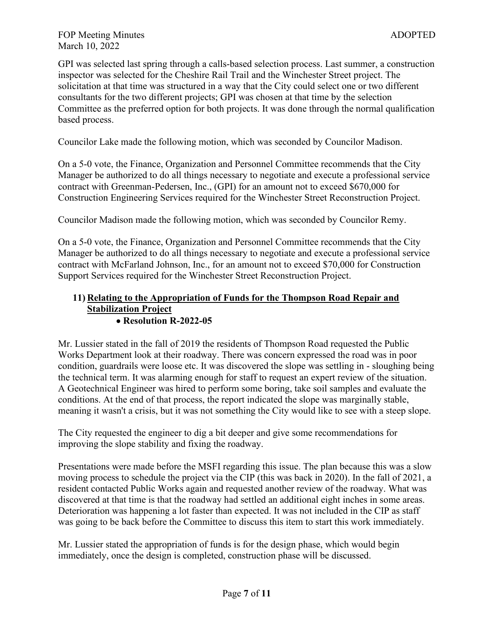GPI was selected last spring through a calls-based selection process. Last summer, a construction inspector was selected for the Cheshire Rail Trail and the Winchester Street project. The solicitation at that time was structured in a way that the City could select one or two different consultants for the two different projects; GPI was chosen at that time by the selection Committee as the preferred option for both projects. It was done through the normal qualification based process.

Councilor Lake made the following motion, which was seconded by Councilor Madison.

On a 5-0 vote, the Finance, Organization and Personnel Committee recommends that the City Manager be authorized to do all things necessary to negotiate and execute a professional service contract with Greenman-Pedersen, Inc., (GPI) for an amount not to exceed \$670,000 for Construction Engineering Services required for the Winchester Street Reconstruction Project.

Councilor Madison made the following motion, which was seconded by Councilor Remy.

On a 5-0 vote, the Finance, Organization and Personnel Committee recommends that the City Manager be authorized to do all things necessary to negotiate and execute a professional service contract with McFarland Johnson, Inc., for an amount not to exceed \$70,000 for Construction Support Services required for the Winchester Street Reconstruction Project.

#### **11) Relating to the Appropriation of Funds for the Thompson Road Repair and Stabilization Project**  • **Resolution R-2022-05**

Mr. Lussier stated in the fall of 2019 the residents of Thompson Road requested the Public Works Department look at their roadway. There was concern expressed the road was in poor condition, guardrails were loose etc. It was discovered the slope was settling in - sloughing being the technical term. It was alarming enough for staff to request an expert review of the situation. A Geotechnical Engineer was hired to perform some boring, take soil samples and evaluate the conditions. At the end of that process, the report indicated the slope was marginally stable, meaning it wasn't a crisis, but it was not something the City would like to see with a steep slope.

The City requested the engineer to dig a bit deeper and give some recommendations for improving the slope stability and fixing the roadway.

Presentations were made before the MSFI regarding this issue. The plan because this was a slow moving process to schedule the project via the CIP (this was back in 2020). In the fall of 2021, a resident contacted Public Works again and requested another review of the roadway. What was discovered at that time is that the roadway had settled an additional eight inches in some areas. Deterioration was happening a lot faster than expected. It was not included in the CIP as staff was going to be back before the Committee to discuss this item to start this work immediately.

Mr. Lussier stated the appropriation of funds is for the design phase, which would begin immediately, once the design is completed, construction phase will be discussed.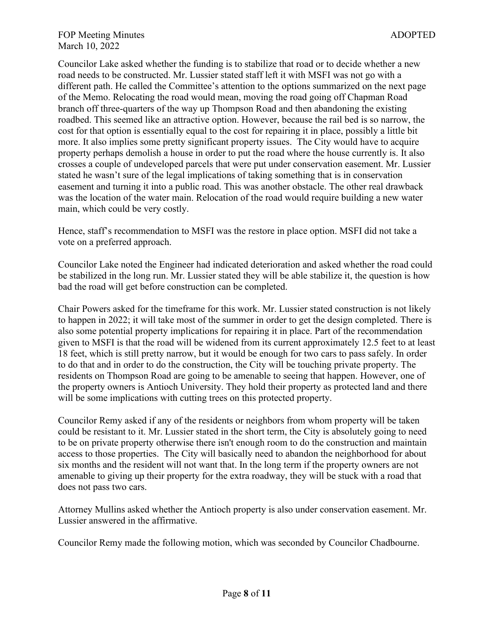Councilor Lake asked whether the funding is to stabilize that road or to decide whether a new road needs to be constructed. Mr. Lussier stated staff left it with MSFI was not go with a different path. He called the Committee's attention to the options summarized on the next page of the Memo. Relocating the road would mean, moving the road going off Chapman Road branch off three-quarters of the way up Thompson Road and then abandoning the existing roadbed. This seemed like an attractive option. However, because the rail bed is so narrow, the cost for that option is essentially equal to the cost for repairing it in place, possibly a little bit more. It also implies some pretty significant property issues. The City would have to acquire property perhaps demolish a house in order to put the road where the house currently is. It also crosses a couple of undeveloped parcels that were put under conservation easement. Mr. Lussier stated he wasn't sure of the legal implications of taking something that is in conservation easement and turning it into a public road. This was another obstacle. The other real drawback was the location of the water main. Relocation of the road would require building a new water main, which could be very costly.

Hence, staff's recommendation to MSFI was the restore in place option. MSFI did not take a vote on a preferred approach.

Councilor Lake noted the Engineer had indicated deterioration and asked whether the road could be stabilized in the long run. Mr. Lussier stated they will be able stabilize it, the question is how bad the road will get before construction can be completed.

Chair Powers asked for the timeframe for this work. Mr. Lussier stated construction is not likely to happen in 2022; it will take most of the summer in order to get the design completed. There is also some potential property implications for repairing it in place. Part of the recommendation given to MSFI is that the road will be widened from its current approximately 12.5 feet to at least 18 feet, which is still pretty narrow, but it would be enough for two cars to pass safely. In order to do that and in order to do the construction, the City will be touching private property. The residents on Thompson Road are going to be amenable to seeing that happen. However, one of the property owners is Antioch University. They hold their property as protected land and there will be some implications with cutting trees on this protected property.

Councilor Remy asked if any of the residents or neighbors from whom property will be taken could be resistant to it. Mr. Lussier stated in the short term, the City is absolutely going to need to be on private property otherwise there isn't enough room to do the construction and maintain access to those properties. The City will basically need to abandon the neighborhood for about six months and the resident will not want that. In the long term if the property owners are not amenable to giving up their property for the extra roadway, they will be stuck with a road that does not pass two cars.

Attorney Mullins asked whether the Antioch property is also under conservation easement. Mr. Lussier answered in the affirmative.

Councilor Remy made the following motion, which was seconded by Councilor Chadbourne.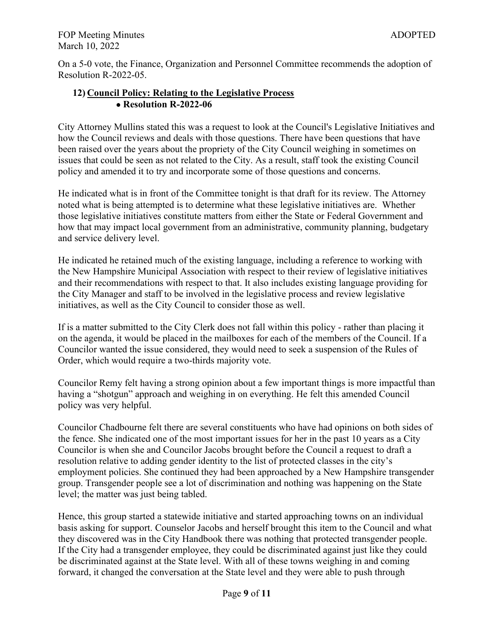On a 5-0 vote, the Finance, Organization and Personnel Committee recommends the adoption of Resolution R-2022-05.

## **12) Council Policy: Relating to the Legislative Process**  • **Resolution R-2022-06**

City Attorney Mullins stated this was a request to look at the Council's Legislative Initiatives and how the Council reviews and deals with those questions. There have been questions that have been raised over the years about the propriety of the City Council weighing in sometimes on issues that could be seen as not related to the City. As a result, staff took the existing Council policy and amended it to try and incorporate some of those questions and concerns.

He indicated what is in front of the Committee tonight is that draft for its review. The Attorney noted what is being attempted is to determine what these legislative initiatives are. Whether those legislative initiatives constitute matters from either the State or Federal Government and how that may impact local government from an administrative, community planning, budgetary and service delivery level.

He indicated he retained much of the existing language, including a reference to working with the New Hampshire Municipal Association with respect to their review of legislative initiatives and their recommendations with respect to that. It also includes existing language providing for the City Manager and staff to be involved in the legislative process and review legislative initiatives, as well as the City Council to consider those as well.

If is a matter submitted to the City Clerk does not fall within this policy - rather than placing it on the agenda, it would be placed in the mailboxes for each of the members of the Council. If a Councilor wanted the issue considered, they would need to seek a suspension of the Rules of Order, which would require a two-thirds majority vote.

Councilor Remy felt having a strong opinion about a few important things is more impactful than having a "shotgun" approach and weighing in on everything. He felt this amended Council policy was very helpful.

Councilor Chadbourne felt there are several constituents who have had opinions on both sides of the fence. She indicated one of the most important issues for her in the past 10 years as a City Councilor is when she and Councilor Jacobs brought before the Council a request to draft a resolution relative to adding gender identity to the list of protected classes in the city's employment policies. She continued they had been approached by a New Hampshire transgender group. Transgender people see a lot of discrimination and nothing was happening on the State level; the matter was just being tabled.

Hence, this group started a statewide initiative and started approaching towns on an individual basis asking for support. Counselor Jacobs and herself brought this item to the Council and what they discovered was in the City Handbook there was nothing that protected transgender people. If the City had a transgender employee, they could be discriminated against just like they could be discriminated against at the State level. With all of these towns weighing in and coming forward, it changed the conversation at the State level and they were able to push through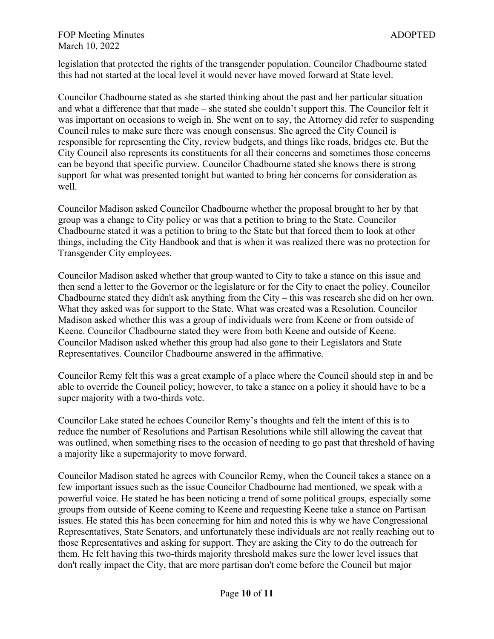legislation that protected the rights of the transgender population. Councilor Chadbourne stated this had not started at the local level it would never have moved forward at State level.

Councilor Chadbourne stated as she started thinking about the past and her particular situation and what a difference that that made – she stated she couldn't support this. The Councilor felt it was important on occasions to weigh in. She went on to say, the Attorney did refer to suspending Council rules to make sure there was enough consensus. She agreed the City Council is responsible for representing the City, review budgets, and things like roads, bridges etc. But the City Council also represents its constituents for all their concerns and sometimes those concerns can be beyond that specific purview. Councilor Chadbourne stated she knows there is strong support for what was presented tonight but wanted to bring her concerns for consideration as well.

Councilor Madison asked Councilor Chadbourne whether the proposal brought to her by that group was a change to City policy or was that a petition to bring to the State. Councilor Chadbourne stated it was a petition to bring to the State but that forced them to look at other things, including the City Handbook and that is when it was realized there was no protection for Transgender City employees.

Councilor Madison asked whether that group wanted to City to take a stance on this issue and then send a letter to the Governor or the legislature or for the City to enact the policy. Councilor Chadbourne stated they didn't ask anything from the City – this was research she did on her own. What they asked was for support to the State. What was created was a Resolution. Councilor Madison asked whether this was a group of individuals were from Keene or from outside of Keene. Councilor Chadbourne stated they were from both Keene and outside of Keene. Councilor Madison asked whether this group had also gone to their Legislators and State Representatives. Councilor Chadbourne answered in the affirmative.

Councilor Remy felt this was a great example of a place where the Council should step in and be able to override the Council policy; however, to take a stance on a policy it should have to be a super majority with a two-thirds vote.

Councilor Lake stated he echoes Councilor Remy's thoughts and felt the intent of this is to reduce the number of Resolutions and Partisan Resolutions while still allowing the caveat that was outlined, when something rises to the occasion of needing to go past that threshold of having a majority like a supermajority to move forward.

Councilor Madison stated he agrees with Councilor Remy, when the Council takes a stance on a few important issues such as the issue Councilor Chadbourne had mentioned, we speak with a powerful voice. He stated he has been noticing a trend of some political groups, especially some groups from outside of Keene coming to Keene and requesting Keene take a stance on Partisan issues. He stated this has been concerning for him and noted this is why we have Congressional Representatives, State Senators, and unfortunately these individuals are not really reaching out to those Representatives and asking for support. They are asking the City to do the outreach for them. He felt having this two-thirds majority threshold makes sure the lower level issues that don't really impact the City, that are more partisan don't come before the Council but major